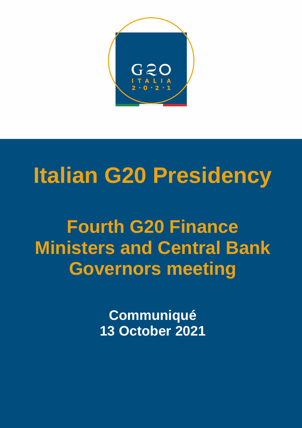

## **Italian G20 Presidency**

## **Fourth G20 Finance Ministers and Central Bank Governors meeting**

**Communiqué 13 October 2021**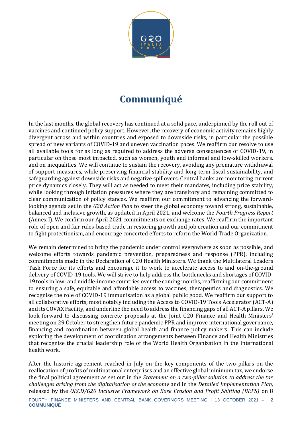

## **Communiqué**

In the last months, the global recovery has continued at a solid pace, underpinned by the roll out of vaccines and continued policy support. However, the recovery of economic activity remains highly divergent across and within countries and exposed to downside risks, in particular the possible spread of new variants of COVID-19 and uneven vaccination paces. We reaffirm our resolve to use all available tools for as long as required to address the adverse consequences of COVID-19, in particular on those most impacted, such as women, youth and informal and low-skilled workers, and on inequalities. We will continue to sustain the recovery, avoiding any premature withdrawal of support measures, while preserving financial stability and long-term fiscal sustainability, and safeguarding against downside risks and negative spillovers. Central banks are monitoring current price dynamics closely. They will act as needed to meet their mandates, including price stability, while looking through inflation pressures where they are transitory and remaining committed to clear communication of policy stances. We reaffirm our commitment to advancing the forwardlooking agenda set in the *G20 Action Plan* to steer the global economy toward strong, sustainable, balanced and inclusive growth, as updated in April 2021, and welcome the *Fourth Progress Report* (Annex I). We confirm our April 2021 commitments on exchange rates. We reaffirm the important role of open and fair rules-based trade in restoring growth and job creation and our commitment to fight protectionism, and encourage concerted efforts to reform the World Trade Organization.

We remain determined to bring the pandemic under control everywhere as soon as possible, and welcome efforts towards pandemic prevention, preparedness and response (PPR), including commitments made in the Declaration of G20 Health Ministers. We thank the Multilateral Leaders Task Force for its efforts and encourage it to work to accelerate access to and on-the-ground delivery of COVID-19 tools. We will strive to help address the bottlenecks and shortages of COVID-19 tools in low- and middle-income countries over the coming months, reaffirming our commitment to ensuring a safe, equitable and affordable access to vaccines, therapeutics and diagnostics. We recognise the role of COVID-19 immunisation as a global public good. We reaffirm our support to all collaborative efforts, most notably including the Access to COVID-19 Tools Accelerator (ACT-A) and its COVAX Facility, and underline the need to address the financing gaps of all ACT-A pillars. We look forward to discussing concrete proposals at the Joint G20 Finance and Health Ministers' meeting on 29 October to strengthen future pandemic PPR and improve international governance, financing and coordination between global health and finance policy makers. This can include exploring the development of coordination arrangements between Finance and Health Ministries that recognise the crucial leadership role of the World Health Organization in the international health work.

After the historic agreement reached in July on the key components of the two pillars on the reallocation of profits of multinational enterprises and an effective global minimum tax, we endorse the final political agreement as set out in the *Statement on a two-pillar solution to address the tax challenges arising from the digitalisation of the economy* and in the *Detailed Implementation Plan*, released by the *OECD/G20 Inclusive Framework on Base Erosion and Profit Shifting (BEPS)* on 8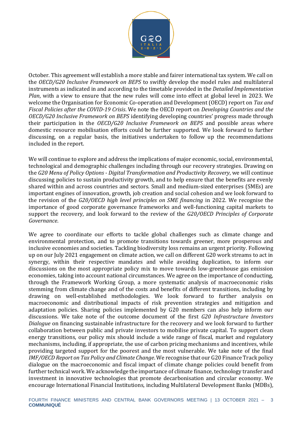

October. This agreement will establish a more stable and fairer international tax system. We call on the *OECD/G20 Inclusive Framework on BEPS* to swiftly develop the model rules and multilateral instruments as indicated in and according to the timetable provided in the *Detailed Implementation Plan*, with a view to ensure that the new rules will come into effect at global level in 2023. We welcome the Organisation for Economic Co-operation and Development (OECD) report on *Tax and Fiscal Policies after the COVID-19 Crisis*. We note the OECD report on *Developing Countries and the OECD/G20 Inclusive Framework on BEPS* identifying developing countries' progress made through their participation in the *OECD/G20 Inclusive Framework on BEPS* and possible areas where domestic resource mobilisation efforts could be further supported. We look forward to further discussing, on a regular basis, the initiatives undertaken to follow up the recommendations included in the report.

We will continue to explore and address the implications of major economic, social, environmental, technological and demographic challenges including through our recovery strategies. Drawing on the *G20 Menu of Policy Options - Digital Transformation and Productivity Recovery*, we will continue discussing policies to sustain productivity growth, and to help ensure that the benefits are evenly shared within and across countries and sectors. Small and medium-sized enterprises (SMEs) are important engines of innovation, growth, job creation and social cohesion and we look forward to the revision of the *G20/OECD high level principles on SME financing* in 2022. We recognise the importance of good corporate governance frameworks and well-functioning capital markets to support the recovery, and look forward to the review of the *G20/OECD Principles of Corporate Governance*.

We agree to coordinate our efforts to tackle global challenges such as climate change and environmental protection, and to promote transitions towards greener, more prosperous and inclusive economies and societies. Tackling biodiversity loss remains an urgent priority. Following up on our July 2021 engagement on climate action, we call on different G20 work streams to act in synergy, within their respective mandates and while avoiding duplication, to inform our discussions on the most appropriate policy mix to move towards low-greenhouse gas emission economies, taking into account national circumstances. We agree on the importance of conducting, through the Framework Working Group, a more systematic analysis of macroeconomic risks stemming from climate change and of the costs and benefits of different transitions, including by drawing on well-established methodologies. We look forward to further analysis on macroeconomic and distributional impacts of risk prevention strategies and mitigation and adaptation policies. Sharing policies implemented by G20 members can also help inform our discussions. We take note of the outcome document of the first *G20 Infrastructure Investors Dialogue* on financing sustainable infrastructure for the recovery and we look forward to further collaboration between public and private investors to mobilise private capital. To support clean energy transitions, our policy mix should include a wide range of fiscal, market and regulatory mechanisms, including, if appropriate, the use of carbon pricing mechanisms and incentives, while providing targeted support for the poorest and the most vulnerable. We take note of the final *IMF/OECD Report on Tax Policy and Climate Change*. We recognise that our G20 Finance Track policy dialogue on the macroeconomic and fiscal impact of climate change policies could benefit from further technical work. We acknowledge the importance of climate finance, technology transfer and investment in innovative technologies that promote decarbonisation and circular economy. We encourage International Financial Institutions, including Multilateral Development Banks (MDBs),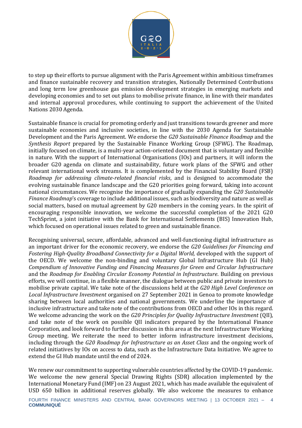

to step up their efforts to pursue alignment with the Paris Agreement within ambitious timeframes and finance sustainable recovery and transition strategies, Nationally Determined Contributions and long term low greenhouse gas emission development strategies in emerging markets and developing economies and to set out plans to mobilise private finance, in line with their mandates and internal approval procedures, while continuing to support the achievement of the United Nations 2030 Agenda.

Sustainable finance is crucial for promoting orderly and just transitions towards greener and more sustainable economies and inclusive societies, in line with the 2030 Agenda for Sustainable Development and the Paris Agreement. We endorse the *G20 Sustainable Finance Roadmap* and the *Synthesis Report* prepared by the Sustainable Finance Working Group (SFWG). The Roadmap, initially focused on climate, is a multi-year action-oriented document that is voluntary and flexible in nature. With the support of International Organisations (IOs) and partners, it will inform the broader G20 agenda on climate and sustainability, future work plans of the SFWG and other relevant international work streams. It is complemented by the Financial Stability Board (FSB) *Roadmap for addressing climate-related financial risks*, and is designed to accommodate the evolving sustainable finance landscape and the G20 priorities going forward, taking into account national circumstances. We recognise the importance of gradually expanding the *G20 Sustainable Finance Roadmap*'s coverage to include additional issues, such as biodiversity and nature as well as social matters, based on mutual agreement by G20 members in the coming years. In the spirit of encouraging responsible innovation, we welcome the successful completion of the 2021 G20 TechSprint, a joint initiative with the Bank for International Settlements (BIS) Innovation Hub, which focused on operational issues related to green and sustainable finance.

Recognising universal, secure, affordable, advanced and well-functioning digital infrastructure as an important driver for the economic recovery, we endorse the *G20 Guidelines for Financing and Fostering High-Quality Broadband Connectivity for a Digital World,* developed with the support of the OECD. We welcome the non-binding and voluntary Global Infrastructure Hub (GI Hub) *Compendium of Innovative Funding and Financing Measures for Green and Circular Infrastructure* and the *Roadmap for Enabling Circular Economy Potential in Infrastructure*. Building on previous efforts, we will continue, in a flexible manner, the dialogue between public and private investors to mobilise private capital. We take note of the discussions held at the *G20 High Level Conference on Local Infrastructure Investment* organised on 27 September 2021 in Genoa to promote knowledge sharing between local authorities and national governments. We underline the importance of inclusive infrastructure and take note of the contributions from OECD and other IOs in this regard. We welcome advancing the work on the *G20 Principles for Quality Infrastructure Investment* (QII), and take note of the work on possible QII indicators prepared by the International Finance Corporation, and look forward to further discussion in this area at the next Infrastructure Working Group meeting. We reiterate the need to better inform infrastructure investment decisions, including through the *G20 Roadmap for Infrastructure as an Asset Class* and the ongoing work of related initiatives by IOs on access to data, such as the Infrastructure Data Initiative. We agree to extend the GI Hub mandate until the end of 2024.

We renew our commitment to supporting vulnerable countries affected by the COVID-19 pandemic. We welcome the new general Special Drawing Rights (SDR) allocation implemented by the International Monetary Fund (IMF) on 23 August 2021, which has made available the equivalent of USD 650 billion in additional reserves globally. We also welcome the measures to enhance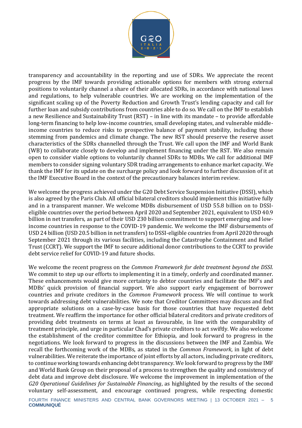

transparency and accountability in the reporting and use of SDRs. We appreciate the recent progress by the IMF towards providing actionable options for members with strong external positions to voluntarily channel a share of their allocated SDRs, in accordance with national laws and regulations, to help vulnerable countries. We are working on the implementation of the significant scaling up of the Poverty Reduction and Growth Trust's lending capacity and call for further loan and subsidy contributions from countries able to do so. We call on the IMF to establish a new Resilience and Sustainability Trust (RST) – in line with its mandate – to provide affordable long-term financing to help low-income countries, small developing states, and vulnerable middleincome countries to reduce risks to prospective balance of payment stability, including those stemming from pandemics and climate change. The new RST should preserve the reserve asset characteristics of the SDRs channelled through the Trust. We call upon the IMF and World Bank (WB) to collaborate closely to develop and implement financing under the RST. We also remain open to consider viable options to voluntarily channel SDRs to MDBs. We call for additional IMF members to consider signing voluntary SDR trading arrangements to enhance market capacity. We thank the IMF for its update on the surcharge policy and look forward to further discussion of it at the IMF Executive Board in the context of the precautionary balances interim review.

We welcome the progress achieved under the G20 Debt Service Suspension Initiative (DSSI), which is also agreed by the Paris Club. All official bilateral creditors should implement this initiative fully and in a transparent manner. We welcome MDBs disbursement of USD 55.8 billion on to DSSIeligible countries over the period between April 2020 and September 2021, equivalent to USD 40.9 billion in net transfers, as part of their USD 230 billion commitment to support emerging and lowincome countries in response to the COVID-19 pandemic. We welcome the IMF disbursements of USD 24 billion (USD 20.5 billion in net transfers) to DSSI-eligible countries from April 2020 through September 2021 through its various facilities, including the Catastrophe Containment and Relief Trust (CCRT). We support the IMF to secure additional donor contributions to the CCRT to provide debt service relief for COVID-19 and future shocks.

We welcome the recent progress on the *Common Framework for debt treatment beyond the DSSI*. We commit to step up our efforts to implementing it in a timely, orderly and coordinated manner. These enhancements would give more certainty to debtor countries and facilitate the IMF's and MDBs' quick provision of financial support. We also support early engagement of borrower countries and private creditors in the *Common Framework* process. We will continue to work towards addressing debt vulnerabilities. We note that Creditor Committees may discuss and find appropriate solutions on a case-by-case basis for those countries that have requested debt treatment. We reaffirm the importance for other official bilateral creditors and private creditors of providing debt treatments on terms at least as favourable, in line with the comparability of treatment principle, and urge in particular Chad's private creditors to act swiftly. We also welcome the establishment of the creditor committee for Ethiopia, and look forward to progress in the negotiations. We look forward to progress in the discussions between the IMF and Zambia. We recall the forthcoming work of the MDBs, as stated in the *Common Framework*, in light of debt vulnerabilities. We reiterate the importance of joint efforts by all actors, including private creditors, to continue working towards enhancing debt transparency. We look forward to progress by the IMF and World Bank Group on their proposal of a process to strengthen the quality and consistency of debt data and improve debt disclosure. We welcome the improvement in implementation of the *G20 Operational Guidelines for Sustainable Financing*, as highlighted by the results of the second voluntary self-assessment, and encourage continued progress, while respecting domestic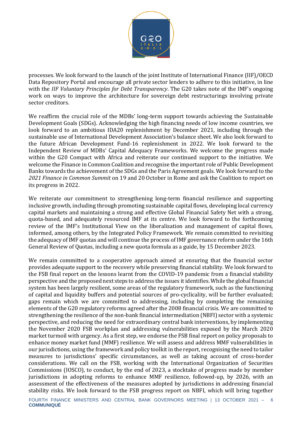

processes. We look forward to the launch of the joint Institute of International Finance (IIF)/OECD Data Repository Portal and encourage all private sector lenders to adhere to this initiative, in line with the *IIF Voluntary Principles for Debt Transparency*. The G20 takes note of the IMF's ongoing work on ways to improve the architecture for sovereign debt restructurings involving private sector creditors.

We reaffirm the crucial role of the MDBs' long-term support towards achieving the Sustainable Development Goals (SDGs). Acknowledging the high financing needs of low income countries, we look forward to an ambitious IDA20 replenishment by December 2021, including through the sustainable use of International Development Association's balance sheet. We also look forward to the future African Development Fund-16 replenishment in 2022. We look forward to the Independent Review of MDBs' Capital Adequacy Frameworks. We welcome the progress made within the G20 Compact with Africa and reiterate our continued support to the initiative. We welcome the Finance in Common Coalition and recognise the important role of Public Development Banks towards the achievement of the SDGs and the Paris Agreement goals. We look forward to the *2021 Finance in Common Summit* on 19 and 20 October in Rome and ask the Coalition to report on its progress in 2022.

We reiterate our commitment to strengthening long-term financial resilience and supporting inclusive growth, including through promoting sustainable capital flows, developing local currency capital markets and maintaining a strong and effective Global Financial Safety Net with a strong, quota-based, and adequately resourced IMF at its centre. We look forward to the forthcoming review of the IMF's Institutional View on the liberalisation and management of capital flows, informed, among others, by the Integrated Policy Framework. We remain committed to revisiting the adequacy of IMF quotas and will continue the process of IMF governance reform under the 16th General Review of Quotas, including a new quota formula as a guide, by 15 December 2023.

We remain committed to a cooperative approach aimed at ensuring that the financial sector provides adequate support to the recovery while preserving financial stability. We look forward to the FSB final report on the lessons learnt from the COVID-19 pandemic from a financial stability perspective and the proposed next steps to address the issues it identifies. While the global financial system has been largely resilient, some areas of the regulatory framework, such as the functioning of capital and liquidity buffers and potential sources of pro-cyclicality, will be further evaluated; gaps remain which we are committed to addressing, including by completing the remaining elements of the G20 regulatory reforms agreed after the 2008 financial crisis. We are committed to strengthening the resilience of the non-bank financial intermediation (NBFI) sector with a systemic perspective, and reducing the need for extraordinary central bank interventions, by implementing the November 2020 FSB workplan and addressing vulnerabilities exposed by the March 2020 market turmoil with urgency. As a first step, we endorse the FSB final report on policy proposals to enhance money market fund (MMF) resilience. We will assess and address MMF vulnerabilities in our jurisdictions, using the framework and policy toolkit in the report, recognising the need to tailor measures to jurisdictions' specific circumstances, as well as taking account of cross-border considerations. We call on the FSB, working with the International Organization of Securities Commissions (IOSCO), to conduct, by the end of 2023, a stocktake of progress made by member jurisdictions in adopting reforms to enhance MMF resilience, followed-up, by 2026, with an assessment of the effectiveness of the measures adopted by jurisdictions in addressing financial stability risks. We look forward to the FSB progress report on NBFI, which will bring together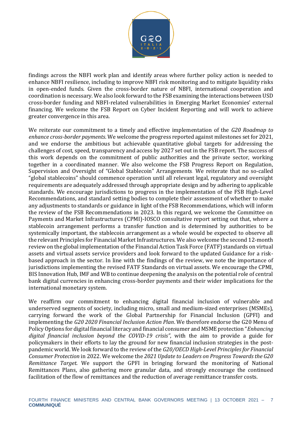

findings across the NBFI work plan and identify areas where further policy action is needed to enhance NBFI resilience, including to improve NBFI risk monitoring and to mitigate liquidity risks in open-ended funds. Given the cross-border nature of NBFI, international cooperation and coordination is necessary. We also look forward to the FSB examining the interactions between USD cross-border funding and NBFI-related vulnerabilities in Emerging Market Economies' external financing. We welcome the FSB Report on Cyber Incident Reporting and will work to achieve greater convergence in this area.

We reiterate our commitment to a timely and effective implementation of the *G20 Roadmap to enhance cross-border payments*. We welcome the progress reported against milestones set for 2021, and we endorse the ambitious but achievable quantitative global targets for addressing the challenges of cost, speed, transparency and access by 2027 set out in the FSB report. The success of this work depends on the commitment of public authorities and the private sector, working together in a coordinated manner. We also welcome the FSB Progress Report on Regulation, Supervision and Oversight of "Global Stablecoin" Arrangements. We reiterate that no so-called "global stablecoins" should commence operation until all relevant legal, regulatory and oversight requirements are adequately addressed through appropriate design and by adhering to applicable standards. We encourage jurisdictions to progress in the implementation of the FSB High-Level Recommendations, and standard setting bodies to complete their assessment of whether to make any adjustments to standards or guidance in light of the FSB Recommendations, which will inform the review of the FSB Recommendations in 2023. In this regard, we welcome the Committee on Payments and Market Infrastructures (CPMI)-IOSCO consultative report setting out that, where a stablecoin arrangement performs a transfer function and is determined by authorities to be systemically important, the stablecoin arrangement as a whole would be expected to observe all the relevant Principles for Financial Market Infrastructures. We also welcome the second 12-month review on the global implementation of the Financial Action Task Force (FATF) standards on virtual assets and virtual assets service providers and look forward to the updated Guidance for a riskbased approach in the sector. In line with the findings of the review, we note the importance of jurisdictions implementing the revised FATF Standards on virtual assets. We encourage the CPMI, BIS Innovation Hub, IMF and WB to continue deepening the analysis on the potential role of central bank digital currencies in enhancing cross-border payments and their wider implications for the international monetary system.

We reaffirm our commitment to enhancing digital financial inclusion of vulnerable and underserved segments of society, including micro, small and medium-sized enterprises (MSMEs), carrying forward the work of the Global Partnership for Financial Inclusion (GPFI) and implementing the *G20 2020 Financial Inclusion Action Plan*. We therefore endorse the G20 Menu of Policy Options for digital financial literacy and financial consumer and MSME protection "*Enhancing digital financial inclusion beyond the COVID-19 crisis"*, with the aim to provide a guide for policymakers in their efforts to lay the ground for new financial inclusion strategies in the postpandemic world. We look forward to the review of the *G20/OECD High-Level Principles for Financial Consumer Protection* in 2022. We welcome the *2021 Update to Leaders on Progress Towards the G20 Remittance Target*. We support the GPFI in bringing forward the monitoring of National Remittances Plans, also gathering more granular data, and strongly encourage the continued facilitation of the flow of remittances and the reduction of average remittance transfer costs.